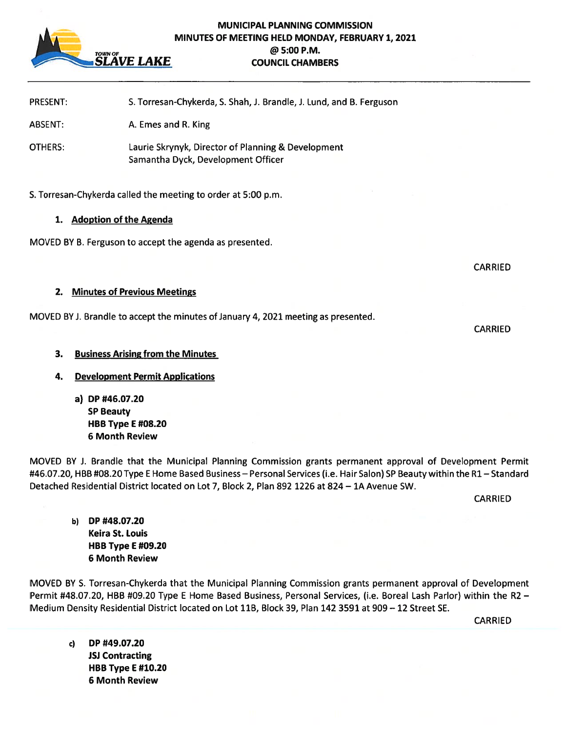

# MUNICIPAL PLANNING COMMISSION MINUTES OF MEETING HELD MONDAY, FEBRUARY 1,2021 @5:00 P.M. SLAVE LAKE COUNCIL CHAMBERS

| <b>PRESENT:</b>    | S. Torresan-Chykerda, S. Shah, J. Brandle, J. Lund, and B. Ferguson                                             |  |
|--------------------|-----------------------------------------------------------------------------------------------------------------|--|
| ABSENT:<br>OTHERS: | A. Emes and R. King<br>Laurie Skrynyk, Director of Planning & Development<br>Samantha Dyck, Development Officer |  |
|                    |                                                                                                                 |  |

# 1. Adoption of the Agenda

MOVED BY B. Ferguson to accep<sup>t</sup> the agenda as presented.

CARRIED

**CARRIED** 

#### 2. Minutes of Previous Meetings

MOVED BYJ. Brandle to accep<sup>t</sup> the minutes of January 4, 2021 meeting as presented.

# 3. Business Arising from the Minutes

- 4. Development Permit Applications
	- a) DP #46.07.20 SP Beauty HBB Type E #08.20 6 Month Review

MOVED BY J. Brandle that the Municipal Planning Commission grants permanen<sup>t</sup> approval of Development Permit #46.07.20, HBB #08.20 Type E Home Based Business – Personal Services (i.e. Hair Salon) SP Beauty within the R1 – Standard Detached Residential District located on Lot 7, Block 2, Plan 892 1226 at 824 — 1A Avenue SW.

CARRIED

b) DP #48.07.20 Keira St. Louis HBB Type E #09.20 6 Month Review

MOVED BY S. Torresan-Chykerda that the Municipal Planning Commission grants permanen<sup>t</sup> approval of Development Permit #48.07.20, HBB #09.20 Type E Home Based Business, Personal Services, (i.e. Boreal Lash Parlor) within the R2 — Medium Density Residential District located on Lot 11B, Block 39, Plan 142 3591 at 909 — 12 Street SE.

CARRIED

c) DP #49.07.20 JSJ Contracting HBB Type E #10.20 6 Month Review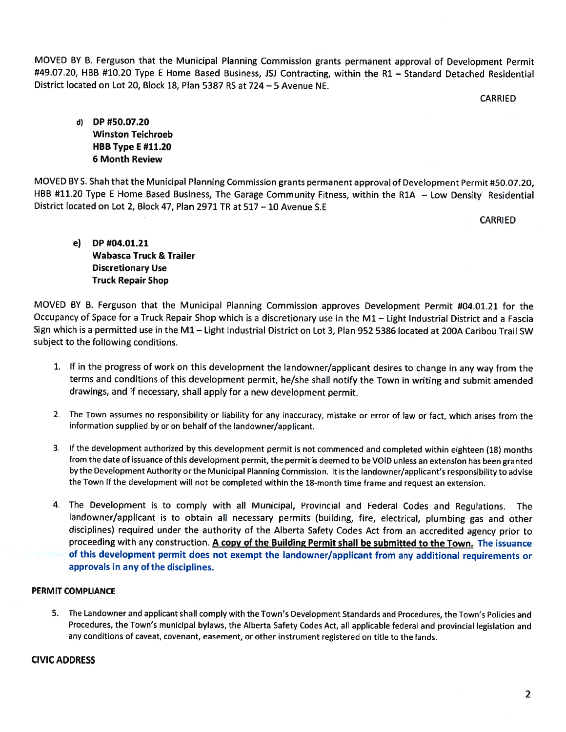MOVED BY B. Ferguson that the Municipal Planning Commission grants permanen<sup>t</sup> approva<sup>l</sup> of Development Permit #49.07.20, HBB #10.20 Type <sup>E</sup> Home Based Business, JSJ Contracting, within the Ri — Standard Detached Residential District located on Lot 20, Block 18, Plan 5387 RS at 724 —5 Avenue NE.

CARRIED

d) DP #50.07.20 Winston Teichroeb HBB Type E#11.20 6 Month Review

MOVED BY S. Shah that the Municipal Planning Commission grants permanen<sup>t</sup> approva<sup>l</sup> of Development Permit #50.07.20, HBB #11.20 Type <sup>E</sup> Home Based Business, The Garage Community Fitness, within the R1A — Low Density Residential District located on Lot 2, Block 47, Plan 2971 TR at 517 — 10 Avenue S.E

CARRIED

e) DP #04.01.21 Wabasca Truck & Trailer Discretionary Use Truck Repair Shop

MOVED BY B. Ferguson that the Municipal Planning Commission approves Development Permit #04.01.21 for the Occupancy of Space for <sup>a</sup> Truck Repair Shop which is <sup>a</sup> discretionary use in the Ml — Light Industrial District and <sup>a</sup> Fascia Sign which is <sup>a</sup> permitted use in the Ml — Light Industrial District on Lot 3, Plan 952 5386 located at 200A Caribou Trail SW subject to the following conditions.

- 1. If in the progress of work on this development the landowner/applicant desires to change in any way from the terms and conditions of this development permit, he/she shall notify the Town in writing and submit amended drawings, and if necessary, shall apply for <sup>a</sup> new development permit.
- 2. The Town assumes no responsibility or liability for any inaccuracy, mistake or error of law or fact, which arises from the information supplied by or on behalf of the landowner/applicant.
- 3. If the development authorized by this development permit is not commenced and completed within eighteen (18) months from the date of issuance of this development permit, the permit is deemed to be VOID unless an extension has been grantec by the Development Authority or the Municipal Planning Commission. It is the landowner/applicant's responsibility to advise the Town if the development will not be completed within the 18-month time frame and reques<sup>t</sup> an extension.
- 4. The Development is to comply with all Municipal, Provincial and Federal Codes and Regulations. The landowner/applicant is to obtain all necessary permits (building, fire, electrical, <sup>p</sup>lumbing gas and other disciplines) required under the authority of the Alberta Safety Codes Act from an accredited agency prior to proceeding with any construction. A copy of the Building Permit shall be submitted to the Town. The issuance of this development permit does not exemp<sup>t</sup> the landowner/applicant from any additional requirements or approvals in any of the disciplines.

# PERMIT COMPLIANCE

5. The Landowner and applicant shall comply with the Town's Development Standards and Procedures, the Town's Policies and Procedures, the Town's municipal bylaws, the Alberta Safety Codes Act, all applicable federal and provincial legislation and any conditions of caveat, covenant, easement, or other instrument registered on title to the lands.

#### CIVIC ADDRESS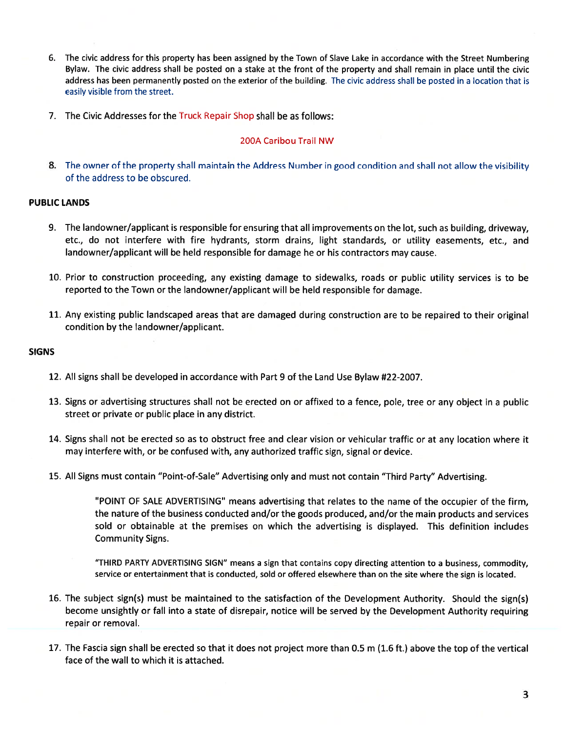- 6. The civic address for this property has been assigned by the Town of Slave Lake in accordance with the Street Numbering Bylaw. The civic address shall be posted on <sup>a</sup> stake at the front of the property and shall remain in <sup>p</sup>lace until the civic address has been permanently posted on the exterior of the building. The civic address shall be posted in <sup>a</sup> location that is easily visible from the street.
- 7. The Civic Addresses for the Truck Repair Shop shall be as follows:

#### 200A Caribou Trail NW

8. The owner of the property shall maintain the Address Number in good condition and shall not allow the visibility of the address to be obscured.

#### PUBLIC LANDS

- 9. The landowner/applicant is responsible for ensuring that all improvements on the lot, such as building, driveway, etc., do not interfere with fire hydrants, storm drains, light standards, or utility easements, etc., and landowner/applicant will be held responsible for damage he or his contractors may cause.
- 10. Prior to construction proceeding, any existing damage to sidewalks, roads or public utility services is to be reported to the Town or the landowner/applicant will be held responsible for damage.
- 11. Any existing public landscaped areas that are damaged during construction are to be repaired to their original condition by the landowner/applicant.

#### SIGNS

- 12. All signs shall be developed in accordance with Part 9 of the Land Use Bylaw #22-2007.
- 13. Signs or advertising structures shall not be erected on or affixed to <sup>a</sup> fence, pole, tree or any object in <sup>a</sup> public street or private or public place in any district.
- 14. Signs shall not be erected so as to obstruct free and clear vision or vehicular traffic or at any location where it may interfere with, or be confused with, any authorized traffic sign, signal or device.
- 15. All Signs must contain "Point-of-Sale" Advertising only and must not contain "Third Party" Advertising.

"POINT OF SALE ADVERTISING" means advertising that relates to the name of the occupier of the firm, the nature of the business conducted and/or the goods produced, and/or the main products and services sold or obtainable at the premises on which the advertising is displayed. This definition includes Community Signs.

"THIRD PARTY ADVERTISING SIGN" means <sup>a</sup> sign that contains copy directing attention to <sup>a</sup> business, commodity, service or entertainment that is conducted, sold or offered elsewhere than on the site where the sign is located.

- 16. The subject sign(s) must be maintained to the satisfaction of the Development Authority. Should the sign(s) become unsightly or fall into <sup>a</sup> state of disrepair, notice will be served by the Development Authority requiring repair or removal.
- 17. The Fascia sign shall be erected so that it does not project more than 0.5 <sup>m</sup> (1.6 ft.) above the top of the vertical face of the wall to which it is attached.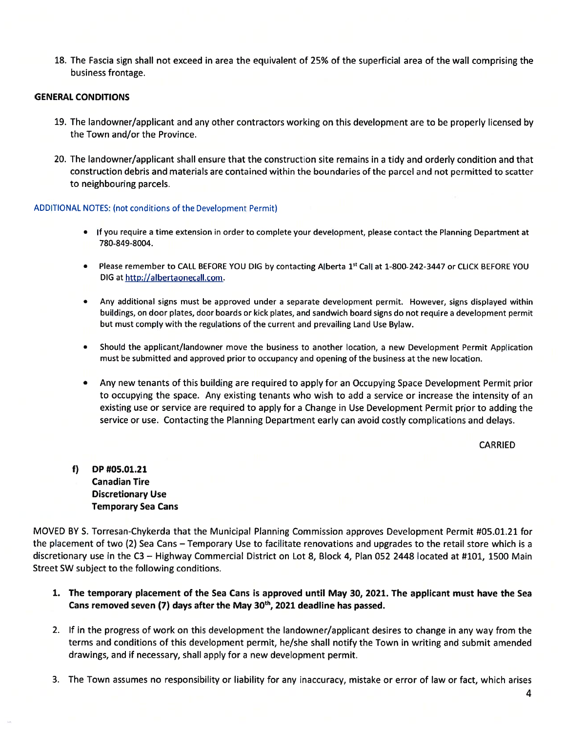18. The Fascia sign shall not exceed in area the equivalent of 25% of the superficial area of the wall comprising the business frontage.

#### GENERAL CONDITIONS

- 19. The landowner/applicant and any other contractors working on this development are to be properly licensed by the Town and/or the Province.
- 20. The landowner/applicant shall ensure that the construction site remains in <sup>a</sup> tidy and orderly condition and that construction debris and materials are contained within the boundaries of the parcel and not permitted to scatter to neighbouring parcels.

#### ADDITIONAL NOTES: (not conditions of the Development Permit)

- If you require <sup>a</sup> time extension in order to complete your development, please contact the Planning Department at 780-849-8004.
- Please remember to CALL BEFORE YOU DIG by contacting Alberta 1<sup>st</sup> Call at 1-800-242-3447 or CLICK BEFORE YOU DIG at <u>http://albertaonecall.com</u>
- • Any additional signs must be approved under <sup>a</sup> separate development permit. However, signs displayed within buildings, on door plates, door boards or kick plates, and sandwich board signs do not require <sup>a</sup> development permit but must comply with the regulations of the current and prevailing Land Use Bylaw.
- • Should the applicant/landowner move the business to another location, <sup>a</sup> new Development Permit Application must be submitted and approved prior to occupancy and opening of the business at the new location.
- Any new tenants of this building are required to apply for an Occupying Space Development Permit prior to occupying the space. Any existing tenants who wish to add <sup>a</sup> service or increase the intensity of an existing use or service are required to apply for <sup>a</sup> Change in Use Development Permit prior to adding the service or use. Contacting the Planning Department early can avoid costly complications and delays.

CARRIED

f) DP #05.01.2 1 Canadian Tire Discretionary Use Temporary Sea Cans

MOVED BY S. Torresan-Chykerda that the Municipal Planning Commission approves Development Permit #05.01.21 for the placement of two (2) Sea Cans – Temporary Use to facilitate renovations and upgrades to the retail store which is a discretionary use in the C3 — Highway Commercial District on Lot 8, Block 4, Plan 052 2448 located at #101, 1500 Main Street SW subject to the following conditions.

- 1. The temporary placement of the Sea Cans is approved until May 30, 2021. The applicant must have the Sea Cans removed seven (7) days after the May  $30<sup>th</sup>$ , 2021 deadline has passed
- 2. If in the progress of work on this development the landowner/applicant desires to change in any way from the terms and conditions of this development permit, he/she shall notify the Town in writing and submit amended drawings, and if necessary, shall apply for <sup>a</sup> new development permit.
- 3. The Town assumes no responsibility or liability for any inaccuracy, mistake or error of law or fact, which arises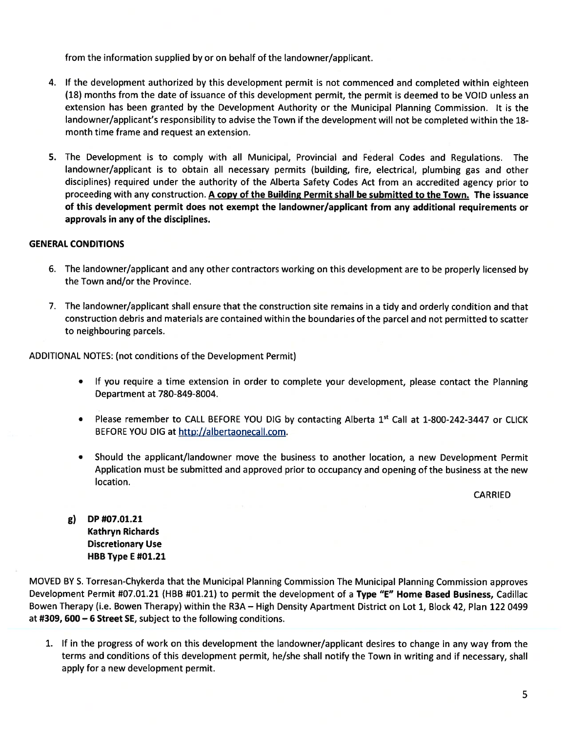from the information supplied by or on behalf of the landowner/applicant.

- 4. If the development authorized by this development permit is not commenced and completed within eighteen (18) months from the date of issuance of this development permit, the permit is deemed to be VOID unless an extension has been granted by the Development Authority or the Municipal Planning Commission. It is the landowner/applicant's responsibility to advise the Town if the development will not be completed within the 18 month time frame and reques<sup>t</sup> an extension.
- 5. The Development is to comply with all Municipal, Provincial and Federal Codes and Regulations. The landowner/applicant is to obtain all necessary permits (building, fire, electrical, <sup>p</sup>lumbing gas and other disciplines) required under the authority of the Alberta Safety Codes Act from an accredited agency prior to proceeding with any construction. A copy of the Building Permit shall be submitted to the Town. The issuance of this development permit does not exemp<sup>t</sup> the landowner/applicant from any additional requirements or approvals in any of the disciplines.

# GENERAL CONDITIONS

- 6. The landowner/applicant and any other contractors working on this development are to be properly licensed by the Town and/or the Province.
- 7. The landowner/applicant shall ensure that the construction site remains in <sup>a</sup> tidy and orderly condition and that construction debris and materials are contained within the boundaries of the parcel and not permitted to scatter to neighbouring parcels.

ADDITIONAL NOTES: (not conditions of the Development Permit)

- If you require <sup>a</sup> time extension in order to complete your development, please contact the Planning Department at 780-849-8004.
- Please remember to CALL BEFORE YOU DIG by contacting Alberta 1st Call at 1-800-242-3447 or CLICK BEFORE YOU DIG at http://albertaonecall.com.
- Should the applicant/landowner move the business to another location, <sup>a</sup> new Development Permit Application must be submitted and approved prior to occupancy and opening of the business at the new location.

CARRIED

g) DP #07.01.21 Kathryn Richards Discretionary Use **HBB Type E #01.21** 

MOVED BY S. Torresan-Chykerda that the Municipal Planning Commission The Municipal Planning Commission approves Development Permit #07.01.21 (HBB #01.21) to permit the development of <sup>a</sup> Type "E" Home Based Business, Cadillac Bowen Therapy (i.e. Bowen Therapy) within the R3A — High Density Apartment District on Lot 1, Block 42, Plan 122 0499 at #309, 600 — <sup>6</sup> Street SE, subject to the following conditions.

1. If in the progress of work on this development the landowner/applicant desires to change in any way from the terms and conditions of this development permit, he/she shall notify the Town in writing and if necessary, shall apply for <sup>a</sup> new development permit.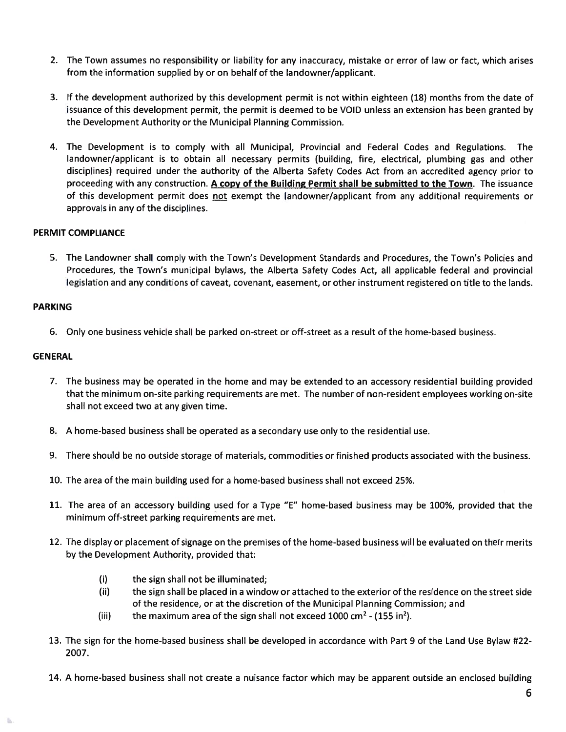- 2. The Town assumes no responsibility or liability for any inaccuracy, mistake or error of law or fact, which arises from the information supplied by or on behalf of the landowner/applicant.
- 3. If the development authorized by this development permit is not within eighteen (18) months from the date of issuance of this development permit, the permit is deemed to be VOID unless an extension has been granted by the Development Authority or the Municipal Planning Commission.
- 4. The Development is to comply with all Municipal, Provincial and Federal Codes and Regulations. The landowner/applicant is to obtain all necessary permits (building, fire, electrical, plumbing gas and other disciplines) required under the authority of the Alberta Safety Codes Act from an accredited agency prior to proceeding with any construction. A copy of the Building Permit shall be submitted to the Town. The issuance of this development permit does <u>not</u> exempt the landowner/applicant from any additional requirements or approvals in any of the disciplines.

# PERMIT COMPLIANCE

5. The Landowner shall comply with the Town's Development Standards and Procedures, the Town's Policies and Procedures, the Town's municipal bylaws, the Alberta Safety Codes Act, all applicable federal and provincial legislation and any conditions of caveat, covenant, easement, or other instrument registered on title to the lands.

#### PARKING

6. Only one business vehicle shall be parked on-street or off-street as <sup>a</sup> result of the home-based business.

#### GENERAL

- 7. The business may be operated in the home and may be extended to an accessory residential building providec that the minimum on-site parking requirements are met. The number of non-resident employees working on-site shall not exceed two at any given time.
- 8. A home-based business shall be operated as <sup>a</sup> secondary use only to the residential use.
- 9. There should be no outside storage of materials, commodities or finished products associated with the business.
- 10. The area of the main building used for <sup>a</sup> home-based business shall not exceed 25%.
- 11, The area of an accessory building used for <sup>a</sup> Type "E" home-based business may be 100%, provided that the minimum off-street parking requirements are met.
- 12. The display or placement of signage on the premises of the home-based business will be evaluated on their merits by the Development Authority, provided that:
	- (i) the sign shall not be illuminated;
	- (ii) the sign shall be placed in <sup>a</sup> window or attached to the exterior of the residence on the street side of the residence, or at the discretion of the Municipal Planning Commission; and
	- (iii) the maximum area of the sign shall not exceed 1000 cm<sup>2</sup> (155 in<sup>2</sup>).
- 13. The sign for the home-based business shall be developed in accordance with Part 9 of the Land Use Bylaw #22- 2007.
- 14. A home-based business shall not create <sup>a</sup> nuisance factor which may be apparen<sup>t</sup> outside an enclosed building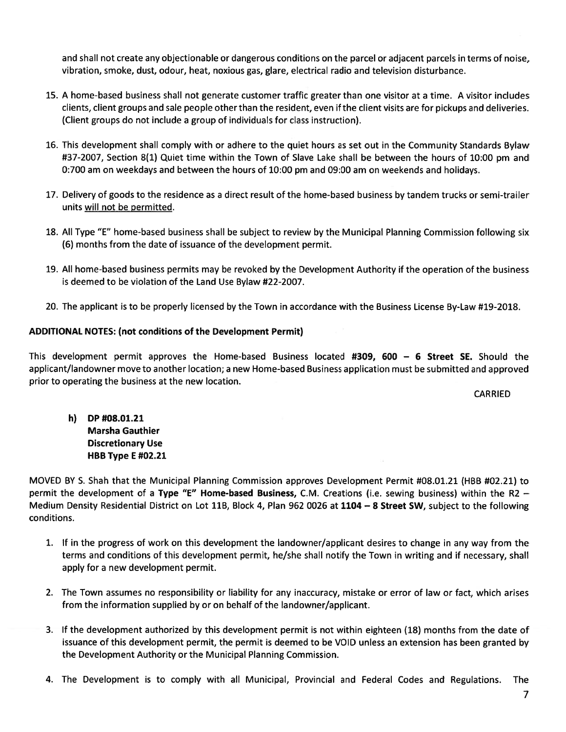and shall not create any objectionable or dangerous conditions on the parcel or adjacent parcels in terms of noise, vibration, smoke, dust, odour, heat, noxious gas, glare, electrical radio and television disturbance.

- 15. A home-based business shall not generate customer traffic greater than one visitor at <sup>a</sup> time. A visitor includes clients, client groups and sale people other than the resident, even if the client visits are for pickups and deliveries. (Client groups do not include <sup>a</sup> group of individuals for class instruction).
- 16. This development shall comply with or adhere to the quiet hours as set out in the Community Standards Bylaw #37-2007, Section 8(1) Quiet time within the Town of Slave Lake shall be between the hours of 10:00 pm and 0:700 am on weekdays and between the hours of 10:00 pm and 09:00 am on weekends and holidays.
- 17. Delivery of goods to the residence as <sup>a</sup> direct result of the home-based business by tandem trucks or semi-trailer units will not be permitted.
- 18. All Type "E" home-based business shall be subject to review by the Municipal Planning Commission following six (6) months from the date of issuance of the development permit.
- 19. All home-based business permits may be revoked by the Development Authority if the operation of the business is deemed to be violation of the Land Use Bylaw #22-2007.
- 20. The applicant is to be properly licensed by the Town in accordance with the Business License By-Law #19-2018.

# ADDITIONAL NOTES: (not conditions of the Development Permit)

This development permit approves the Home-based Business located #309, 600 — 6 Street SE. Should the applicant/landowner move to another location; <sup>a</sup> new Home-based Business application must be submitted and approved prior to operating the business at the new location.

CARRIED

h) DP #08.01.21 Marsha Gauthier Discretionary Use HBB Type E #02.21

MOVED BY S. Shah that the Municipal Planning Commission approves Development Permit #08.01.21 (HBB #02.21) to permit the development of <sup>a</sup> Type "E" Home-based Business, C.M. Creations (i.e. sewing business) within the R2 — Medium Density Residential District on Lot 11B, Block 4, Plan 962 0026 at <sup>1104</sup> — <sup>8</sup> Street SW, subject to the following conditions.

- 1. If in the progress of work on this development the landowner/applicant desires to change in any way from the terms and conditions of this development permit, he/she shall notify the Town in writing and if necessary, shall apply for <sup>a</sup> new development permit.
- 2. The Town assumes no responsibility or liability for any inaccuracy, mistake or error of law or fact, which arises from the information supplied by or on behalf of the landowner/applicant.
- 3. If the development authorized by this development permit is not within eighteen (18) months from the date of issuance of this development permit, the permit is deemed to be VOID unless an extension has been granted by the Development Authority or the Municipal Planning Commission.
- 4. The Development is to comply with all Municipal, Provincial and Federal Codes and Regulations. The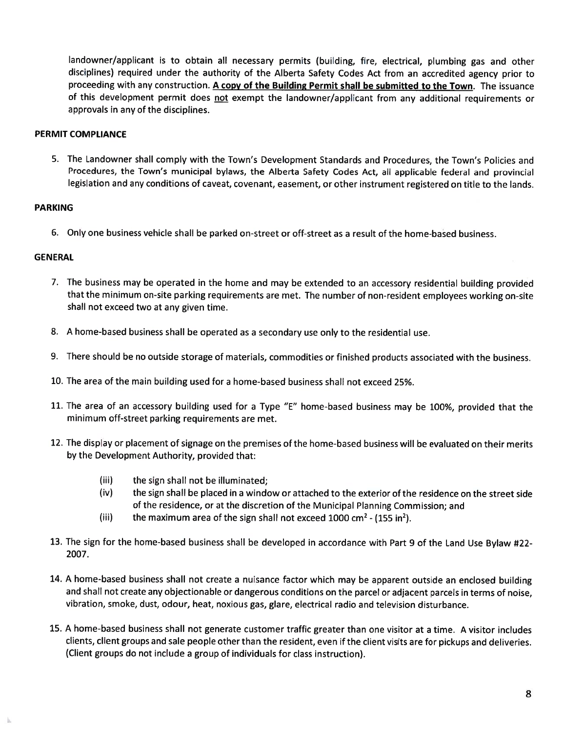landowner/applicant is to obtain all necessary permits (building, fire, electrical, <sup>p</sup>lumbing gas and other disciplines) required under the authority of the Alberta Safety Codes Act from an accredited agency prior to proceeding with any construction. A copy of the Building Permit shall be submitted to the Town. The issuance of this development permit does not exempt the landowner/applicant from any additional requirements or approvals in any of the disciplines.

#### PERMIT COMPLIANCE

5. The Landowner shall comply with the Town's Development Standards and Procedures, the Town's Policies and Procedures, the Town's municipal bylaws, the Alberta Safety Codes Act, all applicable federal and provincial legislation and any conditions of caveat, covenant, easement, or other instrument registered on title to the lands.

# PARKING

6. Only one business vehicle shall be parked on-street or off-street as <sup>a</sup> result of the home-based business.

#### **GENERAL**

- 7. The business may be operated in the home and may be extended to an accessory residential building provided that the minimum on-site parking requirements are met. The number of non-resident employees working on-site shall not exceed two at any given time.
- 8. A home-based business shall be operated as <sup>a</sup> secondary use only to the residential use.
- 9. There should be no outside storage of materials, commodities or finished products associated with the business.
- 10. The area of the main building used for <sup>a</sup> home-based business shall not exceed 25%.
- 11. The area of an accessory building used for <sup>a</sup> Type "E" home-based business may be 100%, provided that the minimum off-street parking requirements are met.
- 12. The display or <sup>p</sup>lacement of signage on the premises of the home-based business will be evaluated on their merits by the Development Authority, provided that:
	- (iii) the sign shall not be illuminated;
	- (iv) the sign shall be placed in <sup>a</sup> window or attached to the exterior of the residence on the street side of the residence, or at the discretion of the Municipal Planning Commission; and
	- (iii) the maximum area of the sign shall not exceed 1000 cm<sup>2</sup> (155 in<sup>2</sup>).
- 13. The sign for the home-based business shall be developed in accordance with Part <sup>9</sup> of the Land Use Bylaw #22- 2007.
- 14. A home-based business shall not create a nuisance factor which may be apparen<sup>t</sup> outside an enclosed building and shall not create any objectionable or dangerous conditions on the parcel or adjacent parcels in terms of noise vibration, smoke, dust, odour, heat, noxious gas, <sup>g</sup>lare, electrical radio and television disturbance.
- 15. A home-based business shall not generate customer traffic greater than one visitor at <sup>a</sup> time. A visitor includes clients, client groups and sale people other than the resident, even if the client visits are for <sup>p</sup>ickups and deliveries. (Client groups do not include <sup>a</sup> group of individuals for class instruction).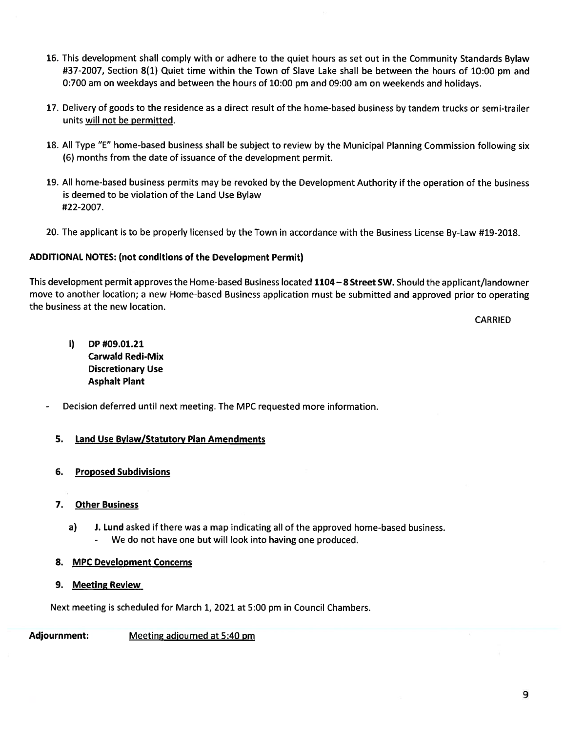- 16. This development shall comply with or adhere to the quiet hours as set out in the Community Standards Bylaw #37-2007, Section 8(1) Quiet time within the Town of Slave Lake shall be between the hours of 10:00 pm and 0:700 am on weekdays and between the hours of 10:00 pm and 09:00 am on weekends and holidays.
- 17. Delivery of goods to the residence as <sup>a</sup> direct result of the home-based business by tandem trucks or semi-trailer units will not be permitted.
- 18. All Type "E" home-based business shall be subject to review by the Municipal Planning Commission following six (6) months from the date of issuance of the development permit.
- 19. All home-based business permits may be revoked by the Development Authority if the operation of the business is deemed to be violation of the Land Use Bylaw #22-2007.
- 20. The applicant is to be properly licensed by the Town in accordance with the Business License By-Law #19-2018.

# ADDITIONAL NOTES: (not conditions of the Development Permit)

This development permit approves the Home-based Business located 1104—8 Street SW. Should the applicant/landowner move to another location; <sup>a</sup> new Home-based Business application must be submitted and approved prior to operating the business at the new location.

CARRIED

- i) DP #09.01.21 Carwald Redi-Mix Discretionary Use Asphalt Plant
- Decision deferred until next meeting. The MPC requested more information.

# 5. Land Use Bylaw/Statutory Plan Amendments

6. Proposed Subdivisions

# 7. Other Business

a) J. Lund asked if there was <sup>a</sup> map indicating all of the approved home-based business. We do not have one but will look into having one produced.

# 8. MPC Development Concerns

9. Meeting Review

Next meeting is scheduled for March 1, 2021 at 5:00 pm in Council Chambers.

Adjournment: Meeting adjourned at 5:40 pm